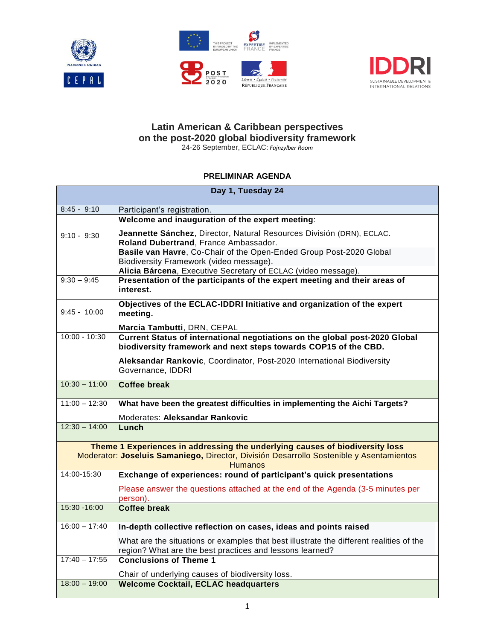





## **Latin American & Caribbean perspectives on the post-2020 global biodiversity framework**

24-26 September, ECLAC: *Fajnzylber Room*

### **PRELIMINAR AGENDA**

| Day 1, Tuesday 24                                                                                                                                                                         |                                                                                                                                                                                       |  |
|-------------------------------------------------------------------------------------------------------------------------------------------------------------------------------------------|---------------------------------------------------------------------------------------------------------------------------------------------------------------------------------------|--|
| $8:45 - 9:10$                                                                                                                                                                             | Participant's registration.                                                                                                                                                           |  |
|                                                                                                                                                                                           | Welcome and inauguration of the expert meeting:                                                                                                                                       |  |
| $9:10 - 9:30$                                                                                                                                                                             | Jeannette Sánchez, Director, Natural Resources División (DRN), ECLAC.<br>Roland Dubertrand, France Ambassador.<br>Basile van Havre, Co-Chair of the Open-Ended Group Post-2020 Global |  |
|                                                                                                                                                                                           | Biodiversity Framework (video message).                                                                                                                                               |  |
| $9:30 - 9:45$                                                                                                                                                                             | Alicia Bárcena, Executive Secretary of ECLAC (video message).<br>Presentation of the participants of the expert meeting and their areas of                                            |  |
|                                                                                                                                                                                           | interest.                                                                                                                                                                             |  |
| $9:45 - 10:00$                                                                                                                                                                            | Objectives of the ECLAC-IDDRI Initiative and organization of the expert<br>meeting.                                                                                                   |  |
|                                                                                                                                                                                           | Marcia Tambutti, DRN, CEPAL                                                                                                                                                           |  |
| $10:00 - 10:30$                                                                                                                                                                           | Current Status of international negotiations on the global post-2020 Global<br>biodiversity framework and next steps towards COP15 of the CBD.                                        |  |
|                                                                                                                                                                                           | Aleksandar Rankovic, Coordinator, Post-2020 International Biodiversity<br>Governance, IDDRI                                                                                           |  |
| $10:30 - 11:00$                                                                                                                                                                           | Coffee break                                                                                                                                                                          |  |
| $11:00 - 12:30$                                                                                                                                                                           | What have been the greatest difficulties in implementing the Aichi Targets?                                                                                                           |  |
|                                                                                                                                                                                           | Moderates: Aleksandar Rankovic                                                                                                                                                        |  |
| $12:30 - 14:00$                                                                                                                                                                           | Lunch                                                                                                                                                                                 |  |
| Theme 1 Experiences in addressing the underlying causes of biodiversity loss<br>Moderator: Joseluis Samaniego, Director, División Desarrollo Sostenible y Asentamientos<br><b>Humanos</b> |                                                                                                                                                                                       |  |
| 14:00-15:30                                                                                                                                                                               | Exchange of experiences: round of participant's quick presentations                                                                                                                   |  |
|                                                                                                                                                                                           | Please answer the questions attached at the end of the Agenda (3-5 minutes per<br>person).                                                                                            |  |
| 15:30 - 16:00                                                                                                                                                                             | <b>Coffee break</b>                                                                                                                                                                   |  |
| $16:00 - 17:40$                                                                                                                                                                           | In-depth collective reflection on cases, ideas and points raised                                                                                                                      |  |
|                                                                                                                                                                                           | What are the situations or examples that best illustrate the different realities of the<br>region? What are the best practices and lessons learned?                                   |  |
| $17:40 - 17:55$                                                                                                                                                                           | <b>Conclusions of Theme 1</b>                                                                                                                                                         |  |
|                                                                                                                                                                                           | Chair of underlying causes of biodiversity loss.                                                                                                                                      |  |
| $18:00 - 19:00$                                                                                                                                                                           | <b>Welcome Cocktail, ECLAC headquarters</b>                                                                                                                                           |  |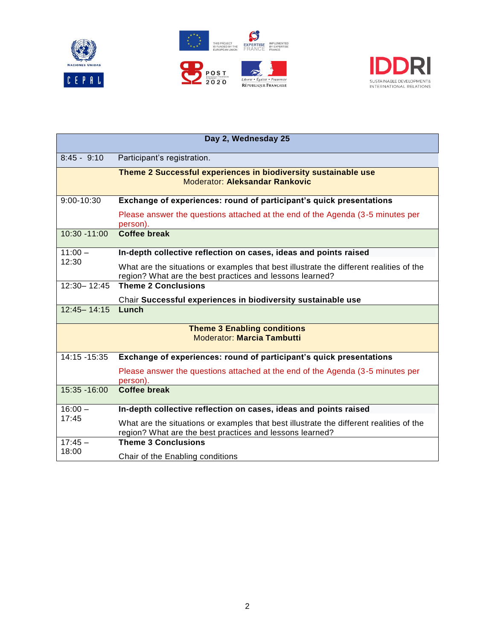





| Day 2, Wednesday 25 |                                                                                                                                                     |
|---------------------|-----------------------------------------------------------------------------------------------------------------------------------------------------|
| $8:45 - 9:10$       | Participant's registration.                                                                                                                         |
|                     | Theme 2 Successful experiences in biodiversity sustainable use<br><b>Moderator: Aleksandar Rankovic</b>                                             |
| $9:00 - 10:30$      | Exchange of experiences: round of participant's quick presentations                                                                                 |
|                     | Please answer the questions attached at the end of the Agenda (3-5 minutes per<br>person).                                                          |
| 10:30 -11:00        | <b>Coffee break</b>                                                                                                                                 |
| $11:00 -$<br>12:30  | In-depth collective reflection on cases, ideas and points raised                                                                                    |
|                     | What are the situations or examples that best illustrate the different realities of the<br>region? What are the best practices and lessons learned? |
| $12:30 - 12:45$     | <b>Theme 2 Conclusions</b>                                                                                                                          |
|                     | Chair Successful experiences in biodiversity sustainable use                                                                                        |
| $12:45 - 14:15$     | Lunch                                                                                                                                               |
|                     | <b>Theme 3 Enabling conditions</b><br><b>Moderator: Marcia Tambutti</b>                                                                             |
| 14:15 -15:35        | Exchange of experiences: round of participant's quick presentations                                                                                 |
|                     | Please answer the questions attached at the end of the Agenda (3-5 minutes per<br>person).                                                          |
| 15:35 - 16:00       | <b>Coffee break</b>                                                                                                                                 |
| $16:00 -$<br>17:45  | In-depth collective reflection on cases, ideas and points raised                                                                                    |
|                     | What are the situations or examples that best illustrate the different realities of the<br>region? What are the best practices and lessons learned? |
| $17:45 -$<br>18:00  | <b>Theme 3 Conclusions</b>                                                                                                                          |
|                     | Chair of the Enabling conditions                                                                                                                    |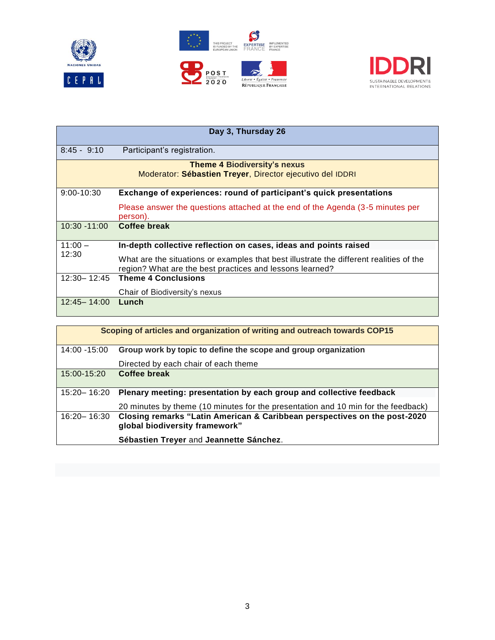





| Day 3, Thursday 26                                                                               |                                                                                                                                                     |  |
|--------------------------------------------------------------------------------------------------|-----------------------------------------------------------------------------------------------------------------------------------------------------|--|
| $8:45 - 9:10$                                                                                    | Participant's registration.                                                                                                                         |  |
| <b>Theme 4 Biodiversity's nexus</b><br>Moderator: Sébastien Treyer, Director ejecutivo del IDDRI |                                                                                                                                                     |  |
| $9:00 - 10:30$                                                                                   | Exchange of experiences: round of participant's quick presentations                                                                                 |  |
|                                                                                                  | Please answer the questions attached at the end of the Agenda (3-5 minutes per<br>person).                                                          |  |
| $10:30 - 11:00$                                                                                  | Coffee break                                                                                                                                        |  |
| $11:00 -$<br>12:30                                                                               | In-depth collective reflection on cases, ideas and points raised                                                                                    |  |
|                                                                                                  | What are the situations or examples that best illustrate the different realities of the<br>region? What are the best practices and lessons learned? |  |
| $12:30 - 12:45$                                                                                  | <b>Theme 4 Conclusions</b>                                                                                                                          |  |
|                                                                                                  | Chair of Biodiversity's nexus                                                                                                                       |  |
| 12:45 - 14:00                                                                                    | Lunch                                                                                                                                               |  |
|                                                                                                  |                                                                                                                                                     |  |

| Scoping of articles and organization of writing and outreach towards COP15 |                                                                                                             |  |
|----------------------------------------------------------------------------|-------------------------------------------------------------------------------------------------------------|--|
| 14:00 -15:00                                                               | Group work by topic to define the scope and group organization                                              |  |
|                                                                            | Directed by each chair of each theme                                                                        |  |
| 15:00-15:20                                                                | Coffee break                                                                                                |  |
| 15:20 - 16:20                                                              | Plenary meeting: presentation by each group and collective feedback                                         |  |
|                                                                            | 20 minutes by theme (10 minutes for the presentation and 10 min for the feedback)                           |  |
| 16:20 - 16:30                                                              | Closing remarks "Latin American & Caribbean perspectives on the post-2020<br>global biodiversity framework" |  |
|                                                                            | Sébastien Treyer and Jeannette Sánchez.                                                                     |  |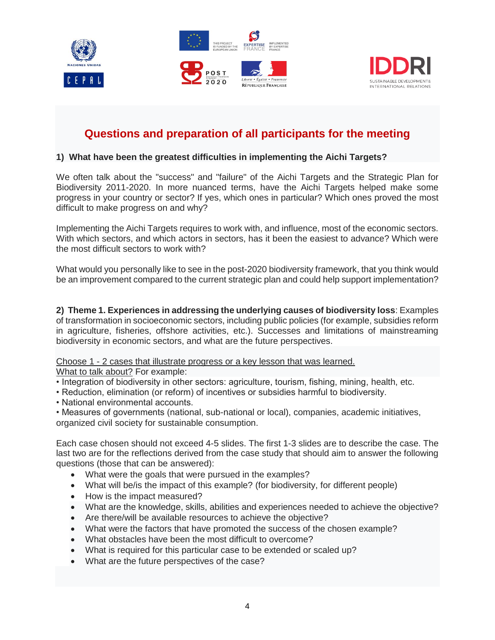





# **Questions and preparation of all participants for the meeting**

### **1) What have been the greatest difficulties in implementing the Aichi Targets?**

We often talk about the "success" and "failure" of the Aichi Targets and the Strategic Plan for Biodiversity 2011-2020. In more nuanced terms, have the Aichi Targets helped make some progress in your country or sector? If yes, which ones in particular? Which ones proved the most difficult to make progress on and why?

Implementing the Aichi Targets requires to work with, and influence, most of the economic sectors. With which sectors, and which actors in sectors, has it been the easiest to advance? Which were the most difficult sectors to work with?

What would you personally like to see in the post-2020 biodiversity framework, that you think would be an improvement compared to the current strategic plan and could help support implementation?

**2) Theme 1. Experiences in addressing the underlying causes of biodiversity loss**: Examples of transformation in socioeconomic sectors, including public policies (for example, subsidies reform in agriculture, fisheries, offshore activities, etc.). Successes and limitations of mainstreaming biodiversity in economic sectors, and what are the future perspectives.

Choose 1 - 2 cases that illustrate progress or a key lesson that was learned.

What to talk about? For example:

- Integration of biodiversity in other sectors: agriculture, tourism, fishing, mining, health, etc.
- Reduction, elimination (or reform) of incentives or subsidies harmful to biodiversity.
- National environmental accounts.

• Measures of governments (national, sub-national or local), companies, academic initiatives, organized civil society for sustainable consumption.

Each case chosen should not exceed 4-5 slides. The first 1-3 slides are to describe the case. The last two are for the reflections derived from the case study that should aim to answer the following questions (those that can be answered):

- What were the goals that were pursued in the examples?
- What will be/is the impact of this example? (for biodiversity, for different people)
- How is the impact measured?
- What are the knowledge, skills, abilities and experiences needed to achieve the objective?
- Are there/will be available resources to achieve the objective?
- What were the factors that have promoted the success of the chosen example?
- What obstacles have been the most difficult to overcome?
- What is required for this particular case to be extended or scaled up?
- What are the future perspectives of the case?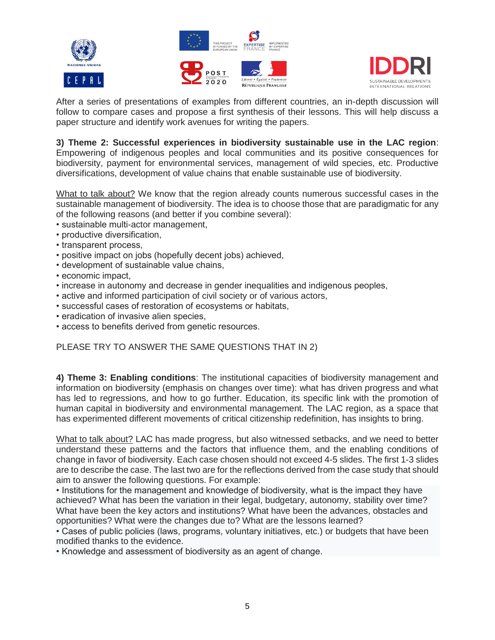





After a series of presentations of examples from different countries, an in-depth discussion will follow to compare cases and propose a first synthesis of their lessons. This will help discuss a paper structure and identify work avenues for writing the papers.

**3) Theme 2: Successful experiences in biodiversity sustainable use in the LAC region**: Empowering of indigenous peoples and local communities and its positive consequences for biodiversity, payment for environmental services, management of wild species, etc. Productive diversifications, development of value chains that enable sustainable use of biodiversity.

What to talk about? We know that the region already counts numerous successful cases in the sustainable management of biodiversity. The idea is to choose those that are paradigmatic for any of the following reasons (and better if you combine several):

- sustainable multi-actor management,
- productive diversification,
- transparent process,
- positive impact on jobs (hopefully decent jobs) achieved,
- development of sustainable value chains,
- economic impact,
- increase in autonomy and decrease in gender inequalities and indigenous peoples,
- active and informed participation of civil society or of various actors,
- successful cases of restoration of ecosystems or habitats,
- eradication of invasive alien species,
- access to benefits derived from genetic resources.

#### PLEASE TRY TO ANSWER THE SAME QUESTIONS THAT IN 2)

**4) Theme 3: Enabling conditions**: The institutional capacities of biodiversity management and information on biodiversity (emphasis on changes over time): what has driven progress and what has led to regressions, and how to go further. Education, its specific link with the promotion of human capital in biodiversity and environmental management. The LAC region, as a space that has experimented different movements of critical citizenship redefinition, has insights to bring.

What to talk about? LAC has made progress, but also witnessed setbacks, and we need to better understand these patterns and the factors that influence them, and the enabling conditions of change in favor of biodiversity. Each case chosen should not exceed 4-5 slides. The first 1-3 slides are to describe the case. The last two are for the reflections derived from the case study that should aim to answer the following questions. For example:

• Institutions for the management and knowledge of biodiversity, what is the impact they have achieved? What has been the variation in their legal, budgetary, autonomy, stability over time? What have been the key actors and institutions? What have been the advances, obstacles and opportunities? What were the changes due to? What are the lessons learned?

• Cases of public policies (laws, programs, voluntary initiatives, etc.) or budgets that have been modified thanks to the evidence.

• Knowledge and assessment of biodiversity as an agent of change.